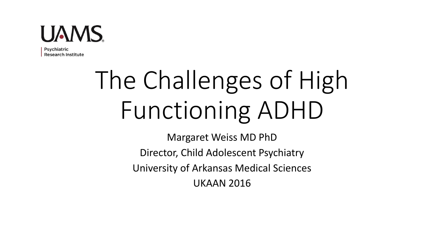

Psychiatric **Research Institute** 

# The Challenges of High Functioning ADHD

Margaret Weiss MD PhD Director, Child Adolescent Psychiatry University of Arkansas Medical Sciences UKAAN 2016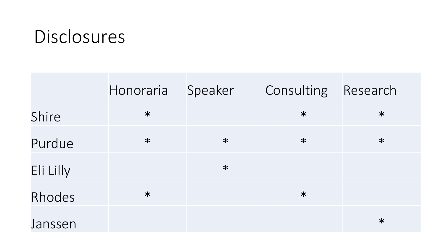### Disclosures

|           | Honoraria | Speaker | Consulting Research |        |
|-----------|-----------|---------|---------------------|--------|
| Shire     | $\ast$    |         | $\ast$              | $\ast$ |
| Purdue    | $\ast$    | $\ast$  | $\ast$              | $\ast$ |
| Eli Lilly |           | $\ast$  |                     |        |
| Rhodes    | $\ast$    |         | $\ast$              |        |
| Janssen   |           |         |                     | $\ast$ |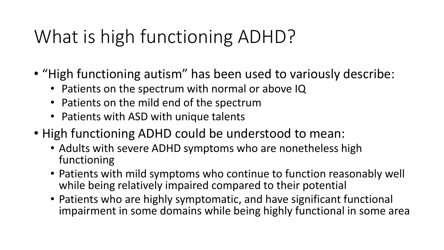# What is high functioning ADHD?

- "High functioning autism" has been used to variously describe:
	- Patients on the spectrum with normal or above IQ
	- Patients on the mild end of the spectrum
	- Patients with ASD with unique talents
- High functioning ADHD could be understood to mean:
	- Adults with severe ADHD symptoms who are nonetheless high functioning
	- Patients with mild symptoms who continue to function reasonably well while being relatively impaired compared to their potential
	- Patients who are highly symptomatic, and have significant functional impairment in some domains while being highly functional in some area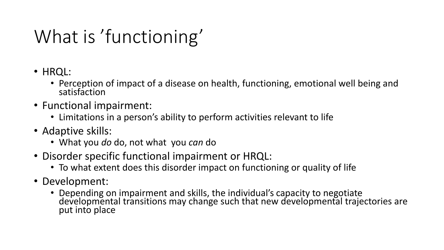# What is 'functioning'

- HRQL:
	- Perception of impact of a disease on health, functioning, emotional well being and satisfaction
- Functional impairment:
	- Limitations in a person's ability to perform activities relevant to life
- Adaptive skills:
	- What you *do* do, not what you *can* do
- Disorder specific functional impairment or HRQL:
	- To what extent does this disorder impact on functioning or quality of life
- Development:
	- Depending on impairment and skills, the individual's capacity to negotiate developmental transitions may change such that new developmental trajectories are put into place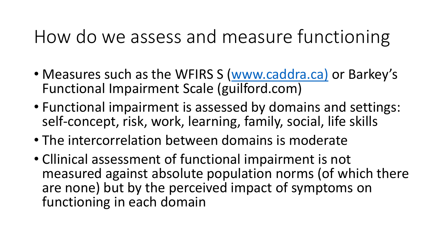### How do we assess and measure functioning

- Measures such as the WFIRS S [\(www.caddra.ca\)](http://www.caddra.ca)/) or Barkey's Functional Impairment Scale (guilford.com)
- Functional impairment is assessed by domains and settings: self-concept, risk, work, learning, family, social, life skills
- The intercorrelation between domains is moderate
- Cllinical assessment of functional impairment is not measured against absolute population norms (of which there are none) but by the perceived impact of symptoms on functioning in each domain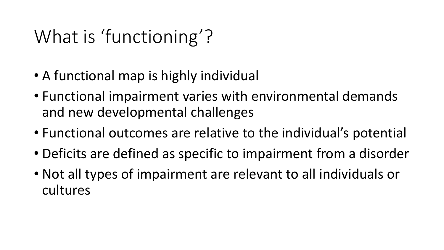# What is 'functioning'?

- A functional map is highly individual
- Functional impairment varies with environmental demands and new developmental challenges
- Functional outcomes are relative to the individual's potential
- Deficits are defined as specific to impairment from a disorder
- Not all types of impairment are relevant to all individuals or cultures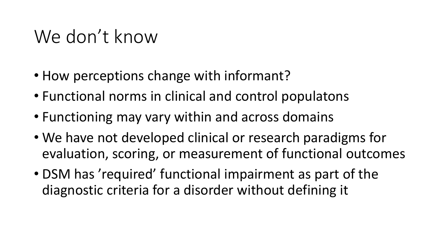### We don't know

- How perceptions change with informant?
- Functional norms in clinical and control populatons
- Functioning may vary within and across domains
- We have not developed clinical or research paradigms for evaluation, scoring, or measurement of functional outcomes
- DSM has 'required' functional impairment as part of the diagnostic criteria for a disorder without defining it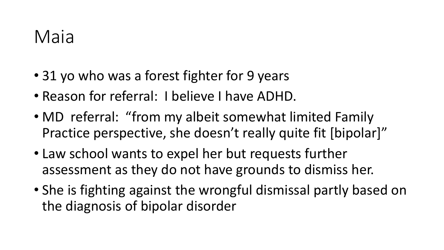- 31 yo who was a forest fighter for 9 years
- Reason for referral: I believe I have ADHD.
- MD referral: "from my albeit somewhat limited Family Practice perspective, she doesn't really quite fit [bipolar]"
- Law school wants to expel her but requests further assessment as they do not have grounds to dismiss her.
- She is fighting against the wrongful dismissal partly based on the diagnosis of bipolar disorder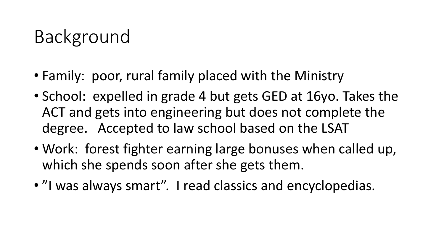### Background

- Family: poor, rural family placed with the Ministry
- School: expelled in grade 4 but gets GED at 16yo. Takes the ACT and gets into engineering but does not complete the degree. Accepted to law school based on the LSAT
- Work: forest fighter earning large bonuses when called up, which she spends soon after she gets them.
- "I was always smart". I read classics and encyclopedias.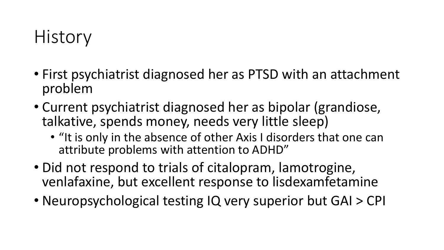### **History**

- First psychiatrist diagnosed her as PTSD with an attachment problem
- Current psychiatrist diagnosed her as bipolar (grandiose, talkative, spends money, needs very little sleep)
	- "It is only in the absence of other Axis I disorders that one can attribute problems with attention to ADHD"
- Did not respond to trials of citalopram, lamotrogine, venlafaxine, but excellent response to lisdexamfetamine
- Neuropsychological testing IQ very superior but GAI > CPI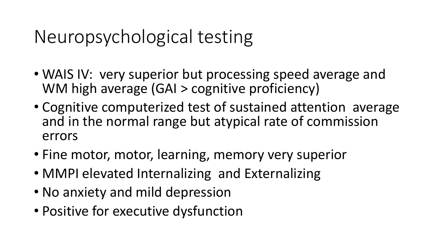### Neuropsychological testing

- WAIS IV: very superior but processing speed average and WM high average (GAI > cognitive proficiency)
- Cognitive computerized test of sustained attention average and in the normal range but atypical rate of commission errors
- Fine motor, motor, learning, memory very superior
- MMPI elevated Internalizing and Externalizing
- No anxiety and mild depression
- Positive for executive dysfunction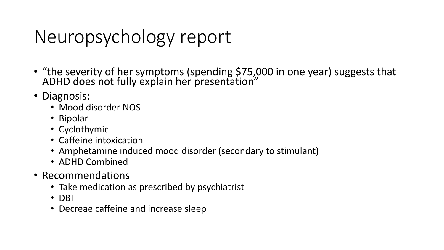## Neuropsychology report

- "the severity of her symptoms (spending \$75,000 in one year) suggests that ADHD does not fully explain her presentation"
- Diagnosis:
	- Mood disorder NOS
	- Bipolar
	- Cyclothymic
	- Caffeine intoxication
	- Amphetamine induced mood disorder (secondary to stimulant)
	- ADHD Combined
- Recommendations
	- Take medication as prescribed by psychiatrist
	- DBT
	- Decreae caffeine and increase sleep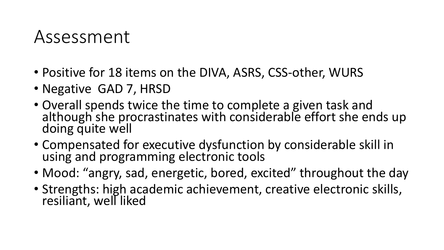### Assessment

- Positive for 18 items on the DIVA, ASRS, CSS-other, WURS
- Negative GAD 7, HRSD
- Overall spends twice the time to complete a given task and although she procrastinates with considerable effort she ends up doing quite well
- Compensated for executive dysfunction by considerable skill in using and programming electronic tools
- Mood: "angry, sad, energetic, bored, excited" throughout the day
- Strengths: high academic achievement, creative electronic skills, resiliant, well liked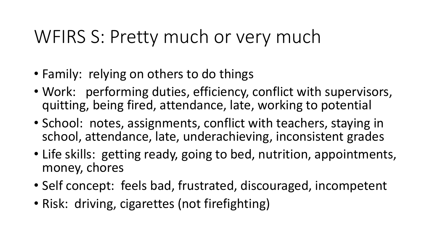### WFIRS S: Pretty much or very much

- Family: relying on others to do things
- Work: performing duties, efficiency, conflict with supervisors, quitting, being fired, attendance, late, working to potential
- School: notes, assignments, conflict with teachers, staying in school, attendance, late, underachieving, inconsistent grades
- Life skills: getting ready, going to bed, nutrition, appointments, money, chores
- Self concept: feels bad, frustrated, discouraged, incompetent
- Risk: driving, cigarettes (not firefighting)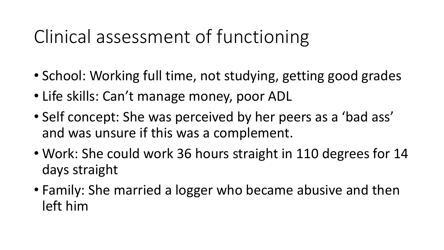### Clinical assessment of functioning

- School: Working full time, not studying, getting good grades
- Life skills: Can't manage money, poor ADL
- Self concept: She was perceived by her peers as a 'bad ass' and was unsure if this was a complement.
- Work: She could work 36 hours straight in 110 degrees for 14 days straight
- Family: She married a logger who became abusive and then left him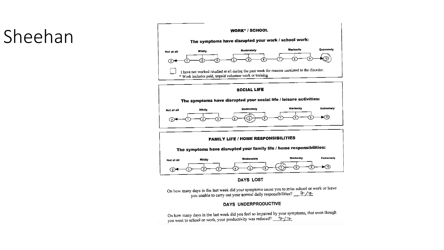### Sheehan



On how many days in the last week did your symptoms cause you to miss school or work or leave you unable to carry out your normal daily responsibilities?  $\frac{7}{4}$ 

#### DAYS UNDERPRODUCTIVE

On how many days in the last week did you feel so impaired by your symptoms, that even though you went to school or work, your productivity was reduced?  $7/7$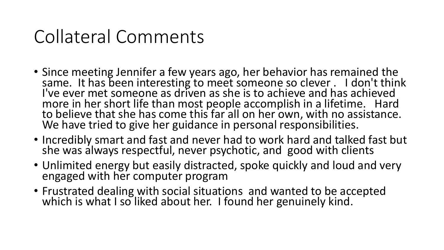### Collateral Comments

- Since meeting Jennifer a few years ago, her behavior has remained the same. It has been interesting to meet someone so clever. I don't think I've ever met someone as driven as she is to achieve and has achieved more in her short life than most people accomplish in a lifetime. Hard to believe that she has come this far all on her own, with no assistance. We have tried to give her guidance in personal responsibilities.
- Incredibly smart and fast and never had to work hard and talked fast but she was always respectful, never psychotic, and good with clients
- Unlimited energy but easily distracted, spoke quickly and loud and very engaged with her computer program
- Frustrated dealing with social situations and wanted to be accepted which is what I so liked about her. I found her genuinely kind.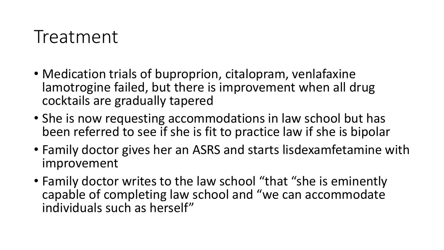### Treatment

- Medication trials of buproprion, citalopram, venlafaxine lamotrogine failed, but there is improvement when all drug cocktails are gradually tapered
- She is now requesting accommodations in law school but has been referred to see if she is fit to practice law if she is bipolar
- Family doctor gives her an ASRS and starts lisdexamfetamine with improvement
- Family doctor writes to the law school "that "she is eminently capable of completing law school and "we can accommodate individuals such as herself"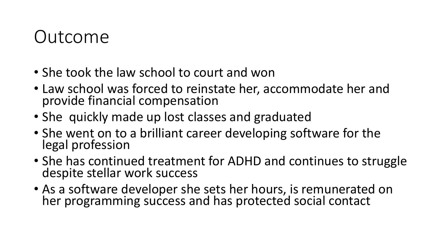### Outcome

- She took the law school to court and won
- Law school was forced to reinstate her, accommodate her and provide financial compensation
- She quickly made up lost classes and graduated
- She went on to a brilliant career developing software for the legal profession
- She has continued treatment for ADHD and continues to struggle despite stellar work success
- As a software developer she sets her hours, is remunerated on her programming success and has protected social contact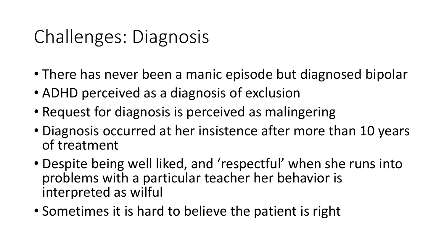### Challenges: Diagnosis

- There has never been a manic episode but diagnosed bipolar
- ADHD perceived as a diagnosis of exclusion
- Request for diagnosis is perceived as malingering
- Diagnosis occurred at her insistence after more than 10 years of treatment
- Despite being well liked, and 'respectful' when she runs into problems with a particular teacher her behavior is interpreted as wilful
- Sometimes it is hard to believe the patient is right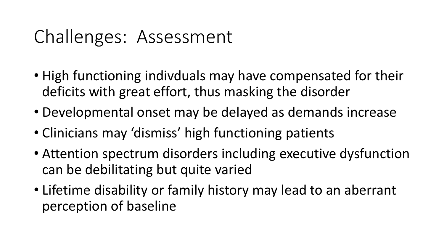### Challenges: Assessment

- High functioning indivduals may have compensated for their deficits with great effort, thus masking the disorder
- Developmental onset may be delayed as demands increase
- Clinicians may 'dismiss' high functioning patients
- Attention spectrum disorders including executive dysfunction can be debilitating but quite varied
- Lifetime disability or family history may lead to an aberrant perception of baseline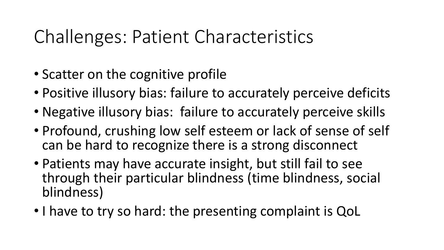### Challenges: Patient Characteristics

- Scatter on the cognitive profile
- Positive illusory bias: failure to accurately perceive deficits
- Negative illusory bias: failure to accurately perceive skills
- Profound, crushing low self esteem or lack of sense of self can be hard to recognize there is a strong disconnect
- Patients may have accurate insight, but still fail to see through their particular blindness (time blindness, social blindness)
- I have to try so hard: the presenting complaint is QoL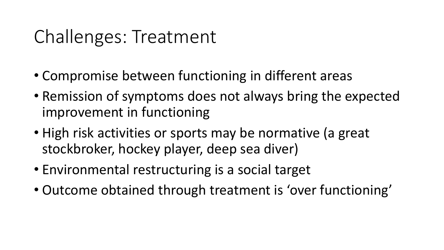### Challenges: Treatment

- Compromise between functioning in different areas
- Remission of symptoms does not always bring the expected improvement in functioning
- High risk activities or sports may be normative (a great stockbroker, hockey player, deep sea diver)
- Environmental restructuring is a social target
- Outcome obtained through treatment is 'over functioning'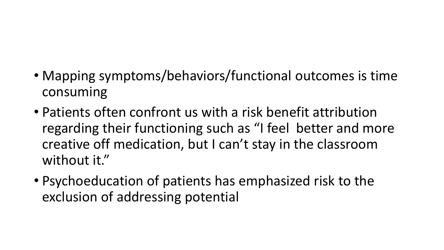- Mapping symptoms/behaviors/functional outcomes is time consuming
- Patients often confront us with a risk benefit attribution regarding their functioning such as "I feel better and more creative off medication, but I can't stay in the classroom without it."
- Psychoeducation of patients has emphasized risk to the exclusion of addressing potential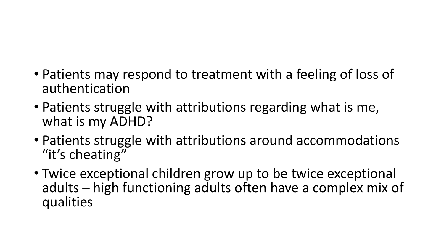### • Patients may respond to treatment with a feeling of loss of authentication

- Patients struggle with attributions regarding what is me, what is my ADHD?
- Patients struggle with attributions around accommodations "it's cheating"
- Twice exceptional children grow up to be twice exceptional adults – high functioning adults often have a complex mix of qualities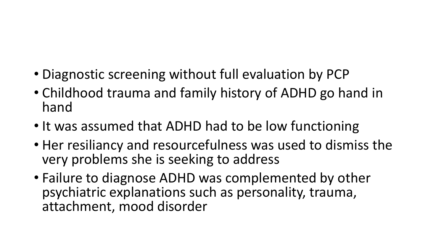- Diagnostic screening without full evaluation by PCP
- Childhood trauma and family history of ADHD go hand in hand
- It was assumed that ADHD had to be low functioning
- Her resiliancy and resourcefulness was used to dismiss the very problems she is seeking to address
- Failure to diagnose ADHD was complemented by other psychiatric explanations such as personality, trauma, attachment, mood disorder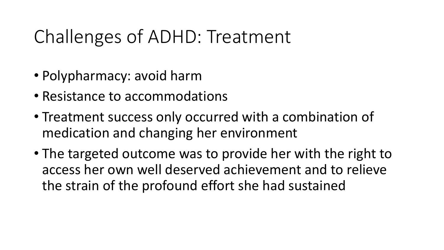### Challenges of ADHD: Treatment

- Polypharmacy: avoid harm
- Resistance to accommodations
- Treatment success only occurred with a combination of medication and changing her environment
- The targeted outcome was to provide her with the right to access her own well deserved achievement and to relieve the strain of the profound effort she had sustained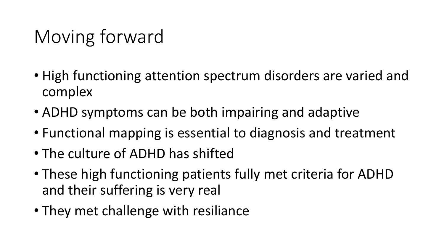### Moving forward

- High functioning attention spectrum disorders are varied and complex
- ADHD symptoms can be both impairing and adaptive
- Functional mapping is essential to diagnosis and treatment
- The culture of ADHD has shifted
- These high functioning patients fully met criteria for ADHD and their suffering is very real
- They met challenge with resiliance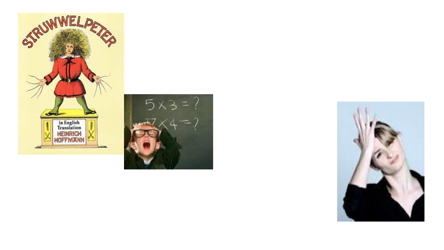



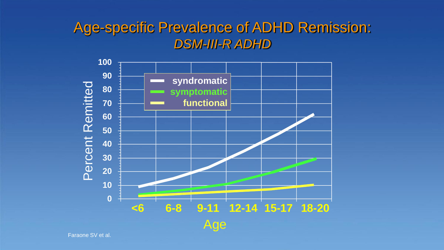### Age-specific Prevalence of ADHD Remission: *DSM-III-R ADHD*



Faraone SV et al.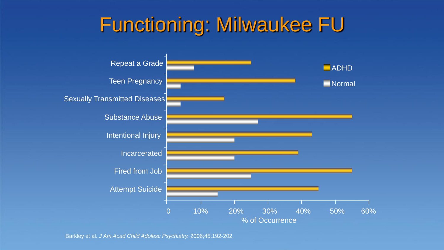### Functioning: Milwaukee FU



Barkley et al. *J Am Acad Child Adolesc Psychiatry.* 2006;45:192-202.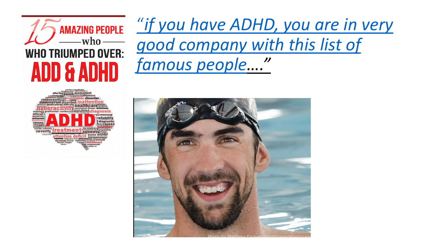

"*[if you have ADHD, you are in very](http://psychcentral.com/disorders/adhd/)  good company with this list of* 

*famous people…."*



affecting parents assessment ic disorder anosed and disorder: Inattent ications difficulty healthcar prefrontal cortex neur **Severity treatmen**